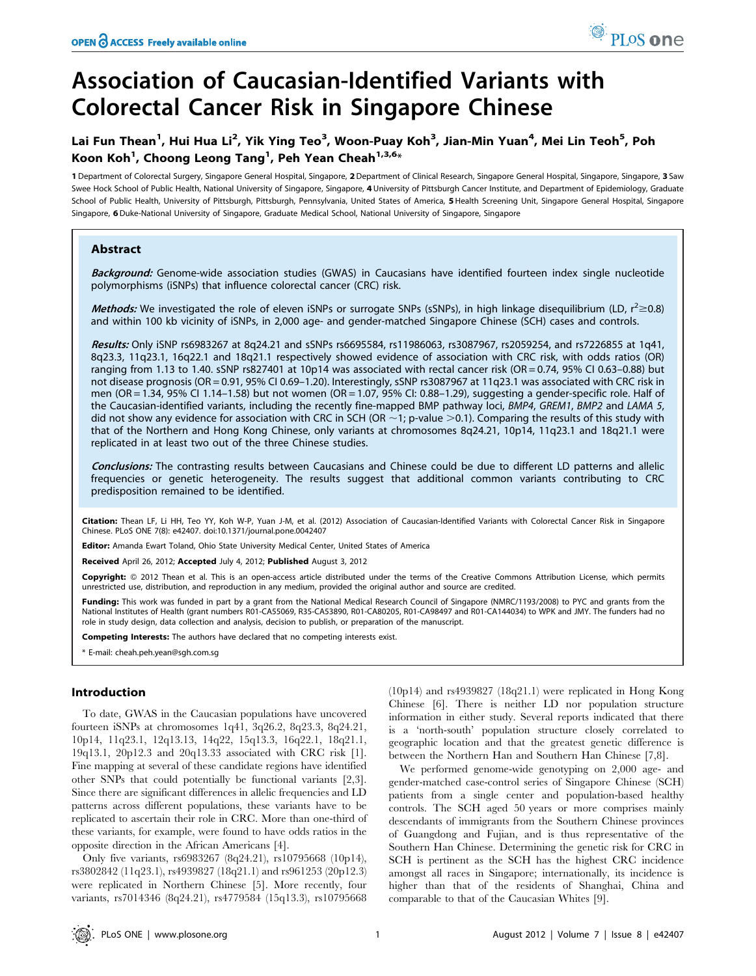# Association of Caucasian-Identified Variants with Colorectal Cancer Risk in Singapore Chinese

# Lai Fun Thean<sup>1</sup>, Hui Hua Li<sup>2</sup>, Yik Ying Teo<sup>3</sup>, Woon-Puay Koh<sup>3</sup>, Jian-Min Yuan<sup>4</sup>, Mei Lin Teoh<sup>5</sup>, Poh Koon Koh $^1$ , Choong Leong Tang $^1$ , Peh Yean Cheah $^{1,3,6_\star}$

1 Department of Colorectal Surgery, Singapore General Hospital, Singapore, 2 Department of Clinical Research, Singapore General Hospital, Singapore, Singapore, 3 Saw Swee Hock School of Public Health, National University of Singapore, Singapore, 4 University of Pittsburgh Cancer Institute, and Department of Epidemiology, Graduate School of Public Health, University of Pittsburgh, Pittsburgh, Pennsylvania, United States of America, 5 Health Screening Unit, Singapore General Hospital, Singapore Singapore, 6 Duke-National University of Singapore, Graduate Medical School, National University of Singapore, Singapore

# Abstract

Background: Genome-wide association studies (GWAS) in Caucasians have identified fourteen index single nucleotide polymorphisms (iSNPs) that influence colorectal cancer (CRC) risk.

Methods: We investigated the role of eleven iSNPs or surrogate SNPs (sSNPs), in high linkage disequilibrium (LD,  $r^2$  $\geq$ 0.8) and within 100 kb vicinity of iSNPs, in 2,000 age- and gender-matched Singapore Chinese (SCH) cases and controls.

Results: Only iSNP rs6983267 at 8q24.21 and sSNPs rs6695584, rs11986063, rs3087967, rs2059254, and rs7226855 at 1q41, 8q23.3, 11q23.1, 16q22.1 and 18q21.1 respectively showed evidence of association with CRC risk, with odds ratios (OR) ranging from 1.13 to 1.40. sSNP rs827401 at 10p14 was associated with rectal cancer risk (OR = 0.74, 95% CI 0.63–0.88) but not disease prognosis (OR = 0.91, 95% CI 0.69–1.20). Interestingly, sSNP rs3087967 at 11q23.1 was associated with CRC risk in men (OR = 1.34, 95% CI 1.14–1.58) but not women (OR = 1.07, 95% CI: 0.88–1.29), suggesting a gender-specific role. Half of the Caucasian-identified variants, including the recently fine-mapped BMP pathway loci, BMP4, GREM1, BMP2 and LAMA 5, did not show any evidence for association with CRC in SCH (OR  $\sim$  1; p-value  $>$ 0.1). Comparing the results of this study with that of the Northern and Hong Kong Chinese, only variants at chromosomes 8q24.21, 10p14, 11q23.1 and 18q21.1 were replicated in at least two out of the three Chinese studies.

Conclusions: The contrasting results between Caucasians and Chinese could be due to different LD patterns and allelic frequencies or genetic heterogeneity. The results suggest that additional common variants contributing to CRC predisposition remained to be identified.

Citation: Thean LF, Li HH, Teo YY, Koh W-P, Yuan J-M, et al. (2012) Association of Caucasian-Identified Variants with Colorectal Cancer Risk in Singapore Chinese. PLoS ONE 7(8): e42407. doi:10.1371/journal.pone.0042407

Editor: Amanda Ewart Toland, Ohio State University Medical Center, United States of America

Received April 26, 2012; Accepted July 4, 2012; Published August 3, 2012

Copyright: © 2012 Thean et al. This is an open-access article distributed under the terms of the Creative Commons Attribution License, which permits unrestricted use, distribution, and reproduction in any medium, provided the original author and source are credited.

Funding: This work was funded in part by a grant from the National Medical Research Council of Singapore (NMRC/1193/2008) to PYC and grants from the National Institutes of Health (grant numbers R01-CA55069, R35-CA53890, R01-CA80205, R01-CA98497 and R01-CA144034) to WPK and JMY. The funders had no role in study design, data collection and analysis, decision to publish, or preparation of the manuscript.

Competing Interests: The authors have declared that no competing interests exist.

\* E-mail: cheah.peh.yean@sgh.com.sg

# Introduction

To date, GWAS in the Caucasian populations have uncovered fourteen iSNPs at chromosomes 1q41, 3q26.2, 8q23.3, 8q24.21, 10p14, 11q23.1, 12q13.13, 14q22, 15q13.3, 16q22.1, 18q21.1, 19q13.1, 20p12.3 and 20q13.33 associated with CRC risk [1]. Fine mapping at several of these candidate regions have identified other SNPs that could potentially be functional variants [2,3]. Since there are significant differences in allelic frequencies and LD patterns across different populations, these variants have to be replicated to ascertain their role in CRC. More than one-third of these variants, for example, were found to have odds ratios in the opposite direction in the African Americans [4].

Only five variants, rs6983267 (8q24.21), rs10795668 (10p14), rs3802842 (11q23.1), rs4939827 (18q21.1) and rs961253 (20p12.3) were replicated in Northern Chinese [5]. More recently, four variants, rs7014346 (8q24.21), rs4779584 (15q13.3), rs10795668

(10p14) and rs4939827 (18q21.1) were replicated in Hong Kong Chinese [6]. There is neither LD nor population structure information in either study. Several reports indicated that there is a 'north-south' population structure closely correlated to geographic location and that the greatest genetic difference is between the Northern Han and Southern Han Chinese [7,8].

We performed genome-wide genotyping on 2,000 age- and gender-matched case-control series of Singapore Chinese (SCH) patients from a single center and population-based healthy controls. The SCH aged 50 years or more comprises mainly descendants of immigrants from the Southern Chinese provinces of Guangdong and Fujian, and is thus representative of the Southern Han Chinese. Determining the genetic risk for CRC in SCH is pertinent as the SCH has the highest CRC incidence amongst all races in Singapore; internationally, its incidence is higher than that of the residents of Shanghai, China and comparable to that of the Caucasian Whites [9].

PLoS one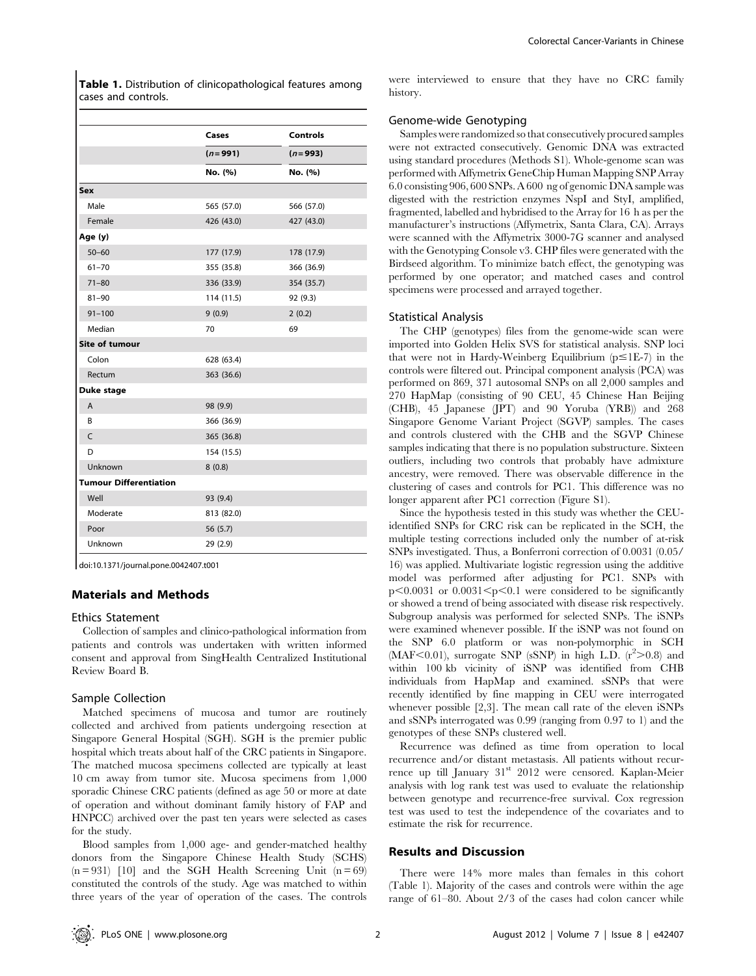Table 1. Distribution of clinicopathological features among cases and controls.

|                               | Cases       | Controls    |  |  |
|-------------------------------|-------------|-------------|--|--|
|                               | $(n = 991)$ | $(n = 993)$ |  |  |
|                               | No. (%)     | No. (%)     |  |  |
| Sex                           |             |             |  |  |
| Male                          | 565 (57.0)  | 566 (57.0)  |  |  |
| Female                        | 426 (43.0)  | 427 (43.0)  |  |  |
| Age (y)                       |             |             |  |  |
| $50 - 60$                     | 177 (17.9)  | 178 (17.9)  |  |  |
| $61 - 70$                     | 355 (35.8)  | 366 (36.9)  |  |  |
| $71 - 80$                     | 336 (33.9)  | 354 (35.7)  |  |  |
| $81 - 90$                     | 114 (11.5)  | 92 (9.3)    |  |  |
| $91 - 100$                    | 9(0.9)      | 2(0.2)      |  |  |
| Median                        | 70          | 69          |  |  |
| <b>Site of tumour</b>         |             |             |  |  |
| Colon                         | 628 (63.4)  |             |  |  |
| Rectum                        | 363 (36.6)  |             |  |  |
| Duke stage                    |             |             |  |  |
| A                             | 98 (9.9)    |             |  |  |
| B                             | 366 (36.9)  |             |  |  |
| C                             | 365 (36.8)  |             |  |  |
| D                             | 154 (15.5)  |             |  |  |
| Unknown                       | 8(0.8)      |             |  |  |
| <b>Tumour Differentiation</b> |             |             |  |  |
| Well                          | 93 (9.4)    |             |  |  |
| Moderate                      | 813 (82.0)  |             |  |  |
| Poor                          | 56 (5.7)    |             |  |  |
| Unknown                       | 29 (2.9)    |             |  |  |

doi:10.1371/journal.pone.0042407.t001

# Materials and Methods

#### Ethics Statement

Collection of samples and clinico-pathological information from patients and controls was undertaken with written informed consent and approval from SingHealth Centralized Institutional Review Board B.

# Sample Collection

Matched specimens of mucosa and tumor are routinely collected and archived from patients undergoing resection at Singapore General Hospital (SGH). SGH is the premier public hospital which treats about half of the CRC patients in Singapore. The matched mucosa specimens collected are typically at least 10 cm away from tumor site. Mucosa specimens from 1,000 sporadic Chinese CRC patients (defined as age 50 or more at date of operation and without dominant family history of FAP and HNPCC) archived over the past ten years were selected as cases for the study.

Blood samples from 1,000 age- and gender-matched healthy donors from the Singapore Chinese Health Study (SCHS)  $(n = 931)$  [10] and the SGH Health Screening Unit  $(n = 69)$ constituted the controls of the study. Age was matched to within three years of the year of operation of the cases. The controls

were interviewed to ensure that they have no CRC family history.

# Genome-wide Genotyping

Samples were randomized so that consecutively procured samples were not extracted consecutively. Genomic DNA was extracted using standard procedures (Methods S1). Whole-genome scan was performed with Affymetrix GeneChip Human Mapping SNP Array 6.0 consisting 906, 600 SNPs. A 600 ng of genomic DNA sample was digested with the restriction enzymes NspI and StyI, amplified, fragmented, labelled and hybridised to the Array for 16 h as per the manufacturer's instructions (Affymetrix, Santa Clara, CA). Arrays were scanned with the Affymetrix 3000-7G scanner and analysed with the Genotyping Console v3. CHP files were generated with the Birdseed algorithm. To minimize batch effect, the genotyping was performed by one operator; and matched cases and control specimens were processed and arrayed together.

#### Statistical Analysis

The CHP (genotypes) files from the genome-wide scan were imported into Golden Helix SVS for statistical analysis. SNP loci that were not in Hardy-Weinberg Equilibrium ( $p \le 1E-7$ ) in the controls were filtered out. Principal component analysis (PCA) was performed on 869, 371 autosomal SNPs on all 2,000 samples and 270 HapMap (consisting of 90 CEU, 45 Chinese Han Beijing (CHB), 45 Japanese (JPT) and 90 Yoruba (YRB)) and 268 Singapore Genome Variant Project (SGVP) samples. The cases and controls clustered with the CHB and the SGVP Chinese samples indicating that there is no population substructure. Sixteen outliers, including two controls that probably have admixture ancestry, were removed. There was observable difference in the clustering of cases and controls for PC1. This difference was no longer apparent after PC1 correction (Figure S1).

Since the hypothesis tested in this study was whether the CEUidentified SNPs for CRC risk can be replicated in the SCH, the multiple testing corrections included only the number of at-risk SNPs investigated. Thus, a Bonferroni correction of 0.0031 (0.05/ 16) was applied. Multivariate logistic regression using the additive model was performed after adjusting for PC1. SNPs with  $p<0.0031$  or  $0.0031 < p<0.1$  were considered to be significantly or showed a trend of being associated with disease risk respectively. Subgroup analysis was performed for selected SNPs. The iSNPs were examined whenever possible. If the iSNP was not found on the SNP 6.0 platform or was non-polymorphic in SCH (MAF<0.01), surrogate SNP (sSNP) in high L.D.  $(r^2 > 0.8)$  and within 100 kb vicinity of iSNP was identified from CHB individuals from HapMap and examined. sSNPs that were recently identified by fine mapping in CEU were interrogated whenever possible [2,3]. The mean call rate of the eleven iSNPs and sSNPs interrogated was 0.99 (ranging from 0.97 to 1) and the genotypes of these SNPs clustered well.

Recurrence was defined as time from operation to local recurrence and/or distant metastasis. All patients without recurrence up till January 31<sup>st</sup> 2012 were censored. Kaplan-Meier analysis with log rank test was used to evaluate the relationship between genotype and recurrence-free survival. Cox regression test was used to test the independence of the covariates and to estimate the risk for recurrence.

#### Results and Discussion

There were 14% more males than females in this cohort (Table 1). Majority of the cases and controls were within the age range of 61–80. About 2/3 of the cases had colon cancer while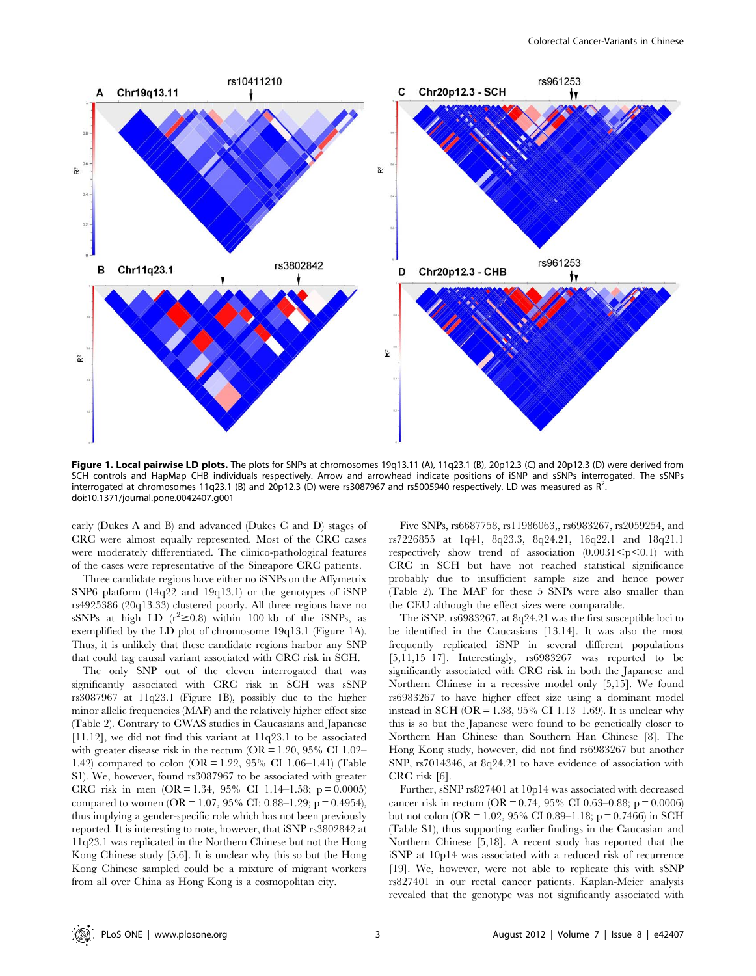

Figure 1. Local pairwise LD plots. The plots for SNPs at chromosomes 19q13.11 (A), 11q23.1 (B), 20p12.3 (C) and 20p12.3 (D) were derived from SCH controls and HapMap CHB individuals respectively. Arrow and arrowhead indicate positions of iSNP and sSNPs interrogated. The sSNPs interrogated at chromosomes 11q23.1 (B) and 20p12.3 (D) were rs3087967 and rs5005940 respectively. LD was measured as R<sup>2</sup> doi:10.1371/journal.pone.0042407.g001

early (Dukes A and B) and advanced (Dukes C and D) stages of CRC were almost equally represented. Most of the CRC cases were moderately differentiated. The clinico-pathological features of the cases were representative of the Singapore CRC patients.

Three candidate regions have either no iSNPs on the Affymetrix SNP6 platform (14q22 and 19q13.1) or the genotypes of iSNP rs4925386 (20q13.33) clustered poorly. All three regions have no sSNPs at high LD  $(r^2 \ge 0.8)$  within 100 kb of the iSNPs, as exemplified by the LD plot of chromosome 19q13.1 (Figure 1A). Thus, it is unlikely that these candidate regions harbor any SNP that could tag causal variant associated with CRC risk in SCH.

The only SNP out of the eleven interrogated that was significantly associated with CRC risk in SCH was sSNP rs3087967 at 11q23.1 (Figure 1B), possibly due to the higher minor allelic frequencies (MAF) and the relatively higher effect size (Table 2). Contrary to GWAS studies in Caucasians and Japanese  $[11,12]$ , we did not find this variant at  $11q23.1$  to be associated with greater disease risk in the rectum ( $OR = 1.20$ , 95% CI 1.02– 1.42) compared to colon (OR = 1.22, 95% CI 1.06–1.41) (Table S1). We, however, found rs3087967 to be associated with greater CRC risk in men  $(OR = 1.34, 95\% \text{ CI } 1.14-1.58; \text{ p} = 0.0005)$ compared to women (OR = 1.07, 95% CI: 0.88–1.29; p = 0.4954), thus implying a gender-specific role which has not been previously reported. It is interesting to note, however, that iSNP rs3802842 at 11q23.1 was replicated in the Northern Chinese but not the Hong Kong Chinese study [5,6]. It is unclear why this so but the Hong Kong Chinese sampled could be a mixture of migrant workers from all over China as Hong Kong is a cosmopolitan city.

Five SNPs, rs6687758, rs11986063,, rs6983267, rs2059254, and rs7226855 at 1q41, 8q23.3, 8q24.21, 16q22.1 and 18q21.1 respectively show trend of association  $(0.0031 \le p \le 0.1)$  with CRC in SCH but have not reached statistical significance probably due to insufficient sample size and hence power (Table 2). The MAF for these 5 SNPs were also smaller than the CEU although the effect sizes were comparable.

The iSNP, rs6983267, at 8q24.21 was the first susceptible loci to be identified in the Caucasians [13,14]. It was also the most frequently replicated iSNP in several different populations [5,11,15–17]. Interestingly, rs6983267 was reported to be significantly associated with CRC risk in both the Japanese and Northern Chinese in a recessive model only [5,15]. We found rs6983267 to have higher effect size using a dominant model instead in SCH ( $OR = 1.38$ ,  $95\%$  CI 1.13–1.69). It is unclear why this is so but the Japanese were found to be genetically closer to Northern Han Chinese than Southern Han Chinese [8]. The Hong Kong study, however, did not find rs6983267 but another SNP, rs7014346, at 8q24.21 to have evidence of association with CRC risk [6].

Further, sSNP rs827401 at 10p14 was associated with decreased cancer risk in rectum (OR =  $0.74$ , 95% CI 0.63–0.88; p = 0.0006) but not colon (OR = 1.02, 95% CI 0.89–1.18; p = 0.7466) in SCH (Table S1), thus supporting earlier findings in the Caucasian and Northern Chinese [5,18]. A recent study has reported that the iSNP at 10p14 was associated with a reduced risk of recurrence [19]. We, however, were not able to replicate this with sSNP rs827401 in our rectal cancer patients. Kaplan-Meier analysis revealed that the genotype was not significantly associated with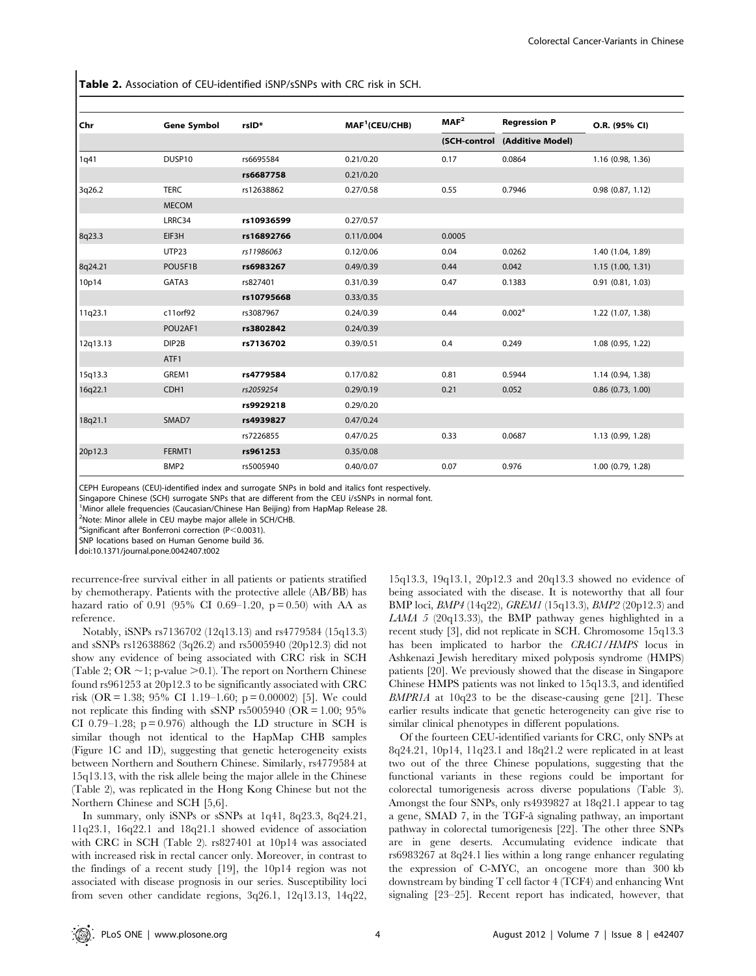Table 2. Association of CEU-identified iSNP/sSNPs with CRC risk in SCH.

| Chr      | <b>Gene Symbol</b> | rsID <sup>*</sup> | MAF <sup>1</sup> (CEU/CHB) | MAF <sup>2</sup> | <b>Regression P</b> | O.R. (95% CI)         |
|----------|--------------------|-------------------|----------------------------|------------------|---------------------|-----------------------|
|          |                    |                   |                            | (SCH-control     | (Additive Model)    |                       |
| 1q41     | DUSP10             | rs6695584         | 0.21/0.20                  | 0.17             | 0.0864              | 1.16 (0.98, 1.36)     |
|          |                    | rs6687758         | 0.21/0.20                  |                  |                     |                       |
| 3q26.2   | <b>TERC</b>        | rs12638862        | 0.27/0.58                  | 0.55             | 0.7946              | $0.98$ $(0.87, 1.12)$ |
|          | <b>MECOM</b>       |                   |                            |                  |                     |                       |
|          | LRRC34             | rs10936599        | 0.27/0.57                  |                  |                     |                       |
| 8q23.3   | EIF3H              | rs16892766        | 0.11/0.004                 | 0.0005           |                     |                       |
|          | <b>UTP23</b>       | rs11986063        | 0.12/0.06                  | 0.04             | 0.0262              | 1.40 (1.04, 1.89)     |
| 8q24.21  | POU5F1B            | rs6983267         | 0.49/0.39                  | 0.44             | 0.042               | 1.15(1.00, 1.31)      |
| 10p14    | GATA3              | rs827401          | 0.31/0.39                  | 0.47             | 0.1383              | $0.91$ $(0.81, 1.03)$ |
|          |                    | rs10795668        | 0.33/0.35                  |                  |                     |                       |
| 11q23.1  | c11orf92           | rs3087967         | 0.24/0.39                  | 0.44             | 0.002 <sup>a</sup>  | 1.22 (1.07, 1.38)     |
|          | POU2AF1            | rs3802842         | 0.24/0.39                  |                  |                     |                       |
| 12q13.13 | DIP2B              | rs7136702         | 0.39/0.51                  | 0.4              | 0.249               | 1.08 (0.95, 1.22)     |
|          | ATF1               |                   |                            |                  |                     |                       |
| 15q13.3  | GREM1              | rs4779584         | 0.17/0.82                  | 0.81             | 0.5944              | 1.14 (0.94, 1.38)     |
| 16q22.1  | CDH <sub>1</sub>   | rs2059254         | 0.29/0.19                  | 0.21             | 0.052               | $0.86$ $(0.73, 1.00)$ |
|          |                    | rs9929218         | 0.29/0.20                  |                  |                     |                       |
| 18q21.1  | SMAD7              | rs4939827         | 0.47/0.24                  |                  |                     |                       |
|          |                    | rs7226855         | 0.47/0.25                  | 0.33             | 0.0687              | 1.13 (0.99, 1.28)     |
| 20p12.3  | FERMT1             | rs961253          | 0.35/0.08                  |                  |                     |                       |
|          | BMP <sub>2</sub>   | rs5005940         | 0.40/0.07                  | 0.07             | 0.976               | 1.00 (0.79, 1.28)     |

CEPH Europeans (CEU)-identified index and surrogate SNPs in bold and italics font respectively.

Singapore Chinese (SCH) surrogate SNPs that are different from the CEU i/sSNPs in normal font.

<sup>1</sup>Minor allele frequencies (Caucasian/Chinese Han Beijing) from HapMap Release 28.

<sup>2</sup>Note: Minor allele in CEU maybe major allele in SCH/CHB.

<sup>a</sup>Significant after Bonferroni correction (P<0.0031).

SNP locations based on Human Genome build 36.

doi:10.1371/journal.pone.0042407.t002

recurrence-free survival either in all patients or patients stratified by chemotherapy. Patients with the protective allele (AB/BB) has hazard ratio of 0.91 (95% CI 0.69–1.20,  $p = 0.50$ ) with AA as reference.

Notably, iSNPs rs7136702 (12q13.13) and rs4779584 (15q13.3) and sSNPs rs12638862 (3q26.2) and rs5005940 (20p12.3) did not show any evidence of being associated with CRC risk in SCH (Table 2; OR  $\sim$  1; p-value  $>$  0.1). The report on Northern Chinese found rs961253 at 20p12.3 to be significantly associated with CRC risk (OR = 1.38; 95% CI 1.19–1.60; p = 0.00002) [5]. We could not replicate this finding with sSNP rs5005940 (OR  $= 1.00$ ; 95% CI 0.79–1.28;  $p = 0.976$ ) although the LD structure in SCH is similar though not identical to the HapMap CHB samples (Figure 1C and 1D), suggesting that genetic heterogeneity exists between Northern and Southern Chinese. Similarly, rs4779584 at 15q13.13, with the risk allele being the major allele in the Chinese (Table 2), was replicated in the Hong Kong Chinese but not the Northern Chinese and SCH [5,6].

In summary, only iSNPs or sSNPs at 1q41, 8q23.3, 8q24.21, 11q23.1, 16q22.1 and 18q21.1 showed evidence of association with CRC in SCH (Table 2). rs827401 at 10p14 was associated with increased risk in rectal cancer only. Moreover, in contrast to the findings of a recent study [19], the 10p14 region was not associated with disease prognosis in our series. Susceptibility loci from seven other candidate regions, 3q26.1, 12q13.13, 14q22,

15q13.3, 19q13.1, 20p12.3 and 20q13.3 showed no evidence of being associated with the disease. It is noteworthy that all four BMP loci, BMP4 (14q22), GREM1 (15q13.3), BMP2 (20p12.3) and LAMA 5 (20q13.33), the BMP pathway genes highlighted in a recent study [3], did not replicate in SCH. Chromosome 15q13.3 has been implicated to harbor the CRAC1/HMPS locus in Ashkenazi Jewish hereditary mixed polyposis syndrome (HMPS) patients [20]. We previously showed that the disease in Singapore Chinese HMPS patients was not linked to 15q13.3, and identified  $BMPR1A$  at 10q23 to be the disease-causing gene [21]. These earlier results indicate that genetic heterogeneity can give rise to similar clinical phenotypes in different populations.

Of the fourteen CEU-identified variants for CRC, only SNPs at 8q24.21, 10p14, 11q23.1 and 18q21.2 were replicated in at least two out of the three Chinese populations, suggesting that the functional variants in these regions could be important for colorectal tumorigenesis across diverse populations (Table 3). Amongst the four SNPs, only rs4939827 at 18q21.1 appear to tag a gene, SMAD 7, in the TGF- $\hat{a}$  signaling pathway, an important pathway in colorectal tumorigenesis [22]. The other three SNPs are in gene deserts. Accumulating evidence indicate that rs6983267 at 8q24.1 lies within a long range enhancer regulating the expression of C-MYC, an oncogene more than 300 kb downstream by binding T cell factor 4 (TCF4) and enhancing Wnt signaling [23–25]. Recent report has indicated, however, that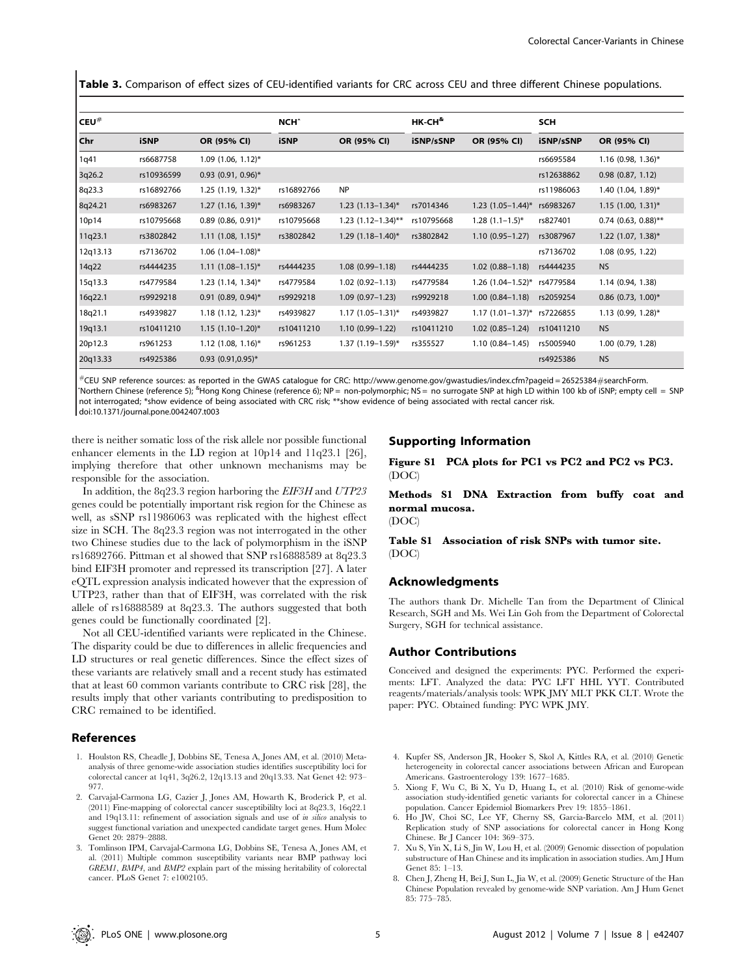Table 3. Comparison of effect sizes of CEU-identified variants for CRC across CEU and three different Chinese populations.

| ${\sf I}$ CEU $^{\#}$ |             |                                  | <b>NCH^</b> |                          | $HK$ -CH $^{\&}$ |                             | <b>SCH</b> |                       |
|-----------------------|-------------|----------------------------------|-------------|--------------------------|------------------|-----------------------------|------------|-----------------------|
| Chr                   | <b>iSNP</b> | OR (95% CI)                      | <b>iSNP</b> | OR (95% CI)              | iSNP/sSNP        | OR (95% CI)                 | iSNP/sSNP  | OR (95% CI)           |
| 1q41                  | rs6687758   | $1.09$ (1.06, 1.12)*             |             |                          |                  |                             | rs6695584  | $1.16$ (0.98, 1.36)*  |
| 3q26.2                | rs10936599  | $0.93$ (0.91, 0.96)*             |             |                          |                  |                             | rs12638862 | $0.98$ $(0.87, 1.12)$ |
| 8q23.3                | rs16892766  | $1.25$ (1.19, 1.32)*             | rs16892766  | <b>NP</b>                |                  |                             | rs11986063 | 1.40 $(1.04, 1.89)^*$ |
| 8q24.21               | rs6983267   | $1.27$ (1.16, 1.39)*             | rs6983267   | $1.23$ $(1.13-1.34)^{*}$ | rs7014346        | $1.23$ $(1.05-1.44)^{*}$    | rs6983267  | $1.15$ (1.00, 1.31)*  |
| 10p14                 | rs10795668  | $0.89$ (0.86, 0.91)*             | rs10795668  | $1.23$ (1.12-1.34)**     | rs10795668       | $1.28(1.1-1.5)^{*}$         | rs827401   | $0.74$ (0.63, 0.88)** |
| 11q23.1               | rs3802842   | $1.11$ (1.08, 1.15)*             | rs3802842   | $1.29$ (1.18-1.40)*      | rs3802842        | $1.10(0.95 - 1.27)$         | rs3087967  | $1.22$ (1.07, 1.38)*  |
| 12q13.13              | rs7136702   | $1.06$ (1.04-1.08)*              |             |                          |                  |                             | rs7136702  | 1.08 (0.95, 1.22)     |
| 14q22                 | rs4444235   | $1.11(1.08-1.15)^{*}$            | rs4444235   | $1.08(0.99 - 1.18)$      | rs4444235        | $1.02(0.88 - 1.18)$         | rs4444235  | <b>NS</b>             |
| 15q13.3               | rs4779584   | $1.23$ (1.14, 1.34) <sup>*</sup> | rs4779584   | $1.02(0.92 - 1.13)$      | rs4779584        | 1.26 (1.04-1.52)* rs4779584 |            | 1.14 (0.94, 1.38)     |
| 16q22.1               | rs9929218   | $0.91$ (0.89, 0.94)*             | rs9929218   | $1.09(0.97-1.23)$        | rs9929218        | $1.00(0.84 - 1.18)$         | rs2059254  | $0.86$ (0.73, 1.00)*  |
| 18q21.1               | rs4939827   | $1.18$ (1.12, 1.23)*             | rs4939827   | $1.17(1.05-1.31)^{*}$    | rs4939827        | $1.17(1.01-1.37)^{*}$       | rs7226855  | $1.13$ (0.99, 1.28)*  |
| 19q13.1               | rs10411210  | $1.15(1.10-1.20)^{*}$            | rs10411210  | $1.10(0.99 - 1.22)$      | rs10411210       | $1.02(0.85 - 1.24)$         | rs10411210 | <b>NS</b>             |
| 20p12.3               | rs961253    | $1.12$ (1.08, 1.16)*             | rs961253    | $1.37(1.19-1.59)^{*}$    | rs355527         | $1.10(0.84 - 1.45)$         | rs5005940  | $1.00$ (0.79, 1.28)   |
| 20q13.33              | rs4925386   | $0.93$ (0.91,0.95)*              |             |                          |                  |                             | rs4925386  | <b>NS</b>             |

#CEU SNP reference sources: as reported in the GWAS catalogue for CRC: http://www.genome.gov/gwastudies/index.cfm?pageid = 26525384#searchForm. ^Northern Chinese (reference 5); <sup>&</sup>Hong Kong Chinese (reference 6); NP = non-polymorphic; NS = no surrogate SNP at high LD within 100 kb of iSNP; empty cell = SNP not interrogated; \*show evidence of being associated with CRC risk; \*\*show evidence of being associated with rectal cancer risk.

doi:10.1371/journal.pone.0042407.t003

there is neither somatic loss of the risk allele nor possible functional enhancer elements in the LD region at 10p14 and 11q23.1 [26], implying therefore that other unknown mechanisms may be responsible for the association.

In addition, the 8q23.3 region harboring the EIF3H and UTP23 genes could be potentially important risk region for the Chinese as well, as sSNP rs11986063 was replicated with the highest effect size in SCH. The 8q23.3 region was not interrogated in the other two Chinese studies due to the lack of polymorphism in the iSNP rs16892766. Pittman et al showed that SNP rs16888589 at 8q23.3 bind EIF3H promoter and repressed its transcription [27]. A later eQTL expression analysis indicated however that the expression of UTP23, rather than that of EIF3H, was correlated with the risk allele of rs16888589 at 8q23.3. The authors suggested that both genes could be functionally coordinated [2].

Not all CEU-identified variants were replicated in the Chinese. The disparity could be due to differences in allelic frequencies and LD structures or real genetic differences. Since the effect sizes of these variants are relatively small and a recent study has estimated that at least 60 common variants contribute to CRC risk [28], the results imply that other variants contributing to predisposition to CRC remained to be identified.

## References

- 1. Houlston RS, Cheadle J, Dobbins SE, Tenesa A, Jones AM, et al. (2010) Metaanalysis of three genome-wide association studies identifies susceptibility loci for colorectal cancer at 1q41, 3q26.2, 12q13.13 and 20q13.33. Nat Genet 42: 973– 977.
- 2. Carvajal-Carmona LG, Cazier J, Jones AM, Howarth K, Broderick P, et al. (2011) Fine-mapping of colorectal cancer susceptibililty loci at 8q23.3, 16q22.1 and  $19q13.11$ : refinement of association signals and use of *in silico* analysis to suggest functional variation and unexpected candidate target genes. Hum Molec Genet 20: 2879–2888.
- 3. Tomlinson IPM, Carvajal-Carmona LG, Dobbins SE, Tenesa A, Jones AM, et al. (2011) Multiple common susceptibility variants near BMP pathway loci GREM1, BMP4, and BMP2 explain part of the missing heritability of colorectal cancer. PLoS Genet 7: e1002105.

# Supporting Information

Figure S1 PCA plots for PC1 vs PC2 and PC2 vs PC3. (DOC)

Methods S1 DNA Extraction from buffy coat and normal mucosa.

(DOC)

Table S1 Association of risk SNPs with tumor site. (DOC)

## Acknowledgments

The authors thank Dr. Michelle Tan from the Department of Clinical Research, SGH and Ms. Wei Lin Goh from the Department of Colorectal Surgery, SGH for technical assistance.

#### Author Contributions

Conceived and designed the experiments: PYC. Performed the experiments: LFT. Analyzed the data: PYC LFT HHL YYT. Contributed reagents/materials/analysis tools: WPK JMY MLT PKK CLT. Wrote the paper: PYC. Obtained funding: PYC WPK JMY.

- 4. Kupfer SS, Anderson JR, Hooker S, Skol A, Kittles RA, et al. (2010) Genetic heterogeneity in colorectal cancer associations between African and European Americans. Gastroenterology 139: 1677–1685.
- 5. Xiong F, Wu C, Bi X, Yu D, Huang L, et al. (2010) Risk of genome-wide association study-identified genetic variants for colorectal cancer in a Chinese population. Cancer Epidemiol Biomarkers Prev 19: 1855–1861.
- 6. Ho JW, Choi SC, Lee YF, Cherny SS, Garcia-Barcelo MM, et al. (2011) Replication study of SNP associations for colorectal cancer in Hong Kong Chinese. Br J Cancer 104: 369–375.
- 7. Xu S, Yin X, Li S, Jin W, Lou H, et al. (2009) Genomic dissection of population substructure of Han Chinese and its implication in association studies. Am J Hum Genet 85: 1–13.
- 8. Chen J, Zheng H, Bei J, Sun L, Jia W, et al. (2009) Genetic Structure of the Han Chinese Population revealed by genome-wide SNP variation. Am J Hum Genet 85: 775–785.